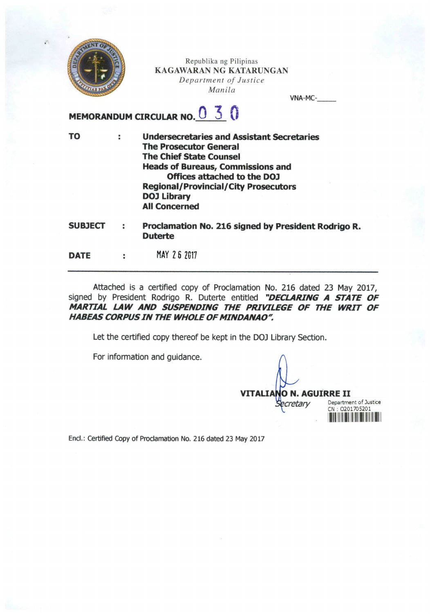

Republika ng Pilipinas KAGAWARAN NG KATARUNGAN Department of Justice Manila

VNA-MC-

## MEMORANDUM CIRCULAR NO.  $0\,$  3  $\,$  0

TO Undersecretaries and Assistant Secretaries ÷ The Prosecutor General The Chief State Counsel Heads of Bureaus, Commissions and Offices attached to the DOJ Regional/Provincial/City Prosecutors DOJ Library All Concerned

**SUBJECT** Proclamation No. 216 signed by President Rodrigo R. ÷ Duterte

MAY 2 6 2G17 DATE  $\ddot{\phantom{a}}$ 

Attached is a certified copy of Proclamation No. 216 dated 23 May 2017, signed by President Rodrigo R. Duterte entitled "DECLARING A STATE OF MARTIAL LAW AND SUSPENDING THE PRIVILEGE OF THE WRIT OF HABEAS CORPUS IN THE WHOLE OF MINDANAO''.

Let the certified copy thereof be kept in the DOJ Library Section.

For information and guidance.

**VITALIANO N. AGUIRRE II cretary**  $\overline{\phantom{a}}$ Department of Justice CN : 0201705201

End.: Certified Copy of Prodamation No. 216 dated 23 May 2017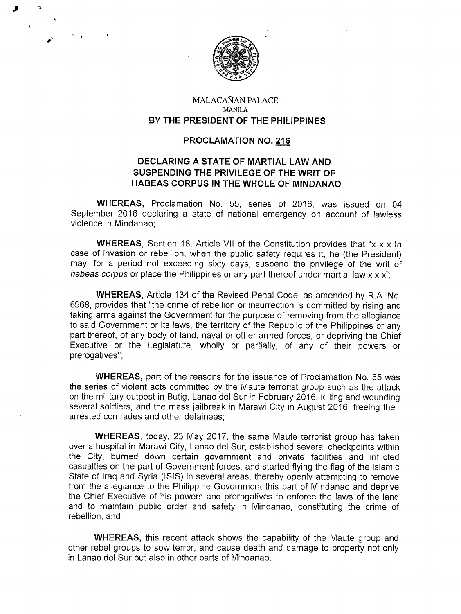

I i

#

## MALACANAN PALACE MANILA BY THE PRESIDENT OF THE PHILIPPINES

## PROCLAMATION NO. 216

## DECLARING A STATE OF MARTIAL LAW AND SUSPENDING THE PRIVILEGE OF THE WRIT OF HABEAS CORPUS IN THE WHOLE OF MINDANAO

WHEREAS, Proclamation No. 55, series of 2016, was issued on 04 September 2016 declaring a state of national emergency on account of lawless violence in Mindanao;

**WHEREAS,** Section 18, Article VII of the Constitution provides that "x x x In case of invasion or rebellion, when the public safety requires it, he (the President) may, for a period not exceeding sixty days, suspend the privilege of the writ of habeas corpus or place the Philippines or any part thereof under martial law  $x \times x$ ";

WHEREAS, Article 134 of the Revised Penal Code, as amended by R.A. No. 6968, provides that "the crime of rebellion or insurrection is committed by rising and taking arms against the Government for the purpose of removing from the allegiance to said Government or its laws, the territory of the Republic of the Philippines or any part thereof, of any body of land, naval or other armed forces, or depriving the Chief Executive or the Legislature, wholly or partially, of any of their powers or prerogatives";

WHEREAS, part of the reasons for the issuance of Proclamation No. 55 was the series of violent acts committed by the Maute terrorist group such as the attack on the military outpost in Butig, Lanao del Sur in February 2016, killing and wounding several soldiers, and the mass jailbreak in Marawi City in August 2016, freeing their arrested comrades and other detainees;

WHEREAS, today, 23 May 2017, the same Maute terrorist group has taken over a hospital in Marawi City, Lanao del Sur, established several checkpoints within the City, burned down certain government and private facilities and inflicted casualties on the part of Government forces, and started flying the flag of the Islamic State of Iraq and Syria (ISIS) in several areas, thereby openly attempting to remove from the allegiance to the Philippine Government this part of Mindanao and deprive the Chief Executive of his powers and prerogatives to enforce the laws of the land and to maintain public order and safety in Mindanao, constituting the crime of rebellion; and

WHEREAS, this recent attack shows the capability of the Maute group and other rebel groups to sow terror, and cause death and damage to property not only in Lanao del Sur but also in other parts of Mindanao.